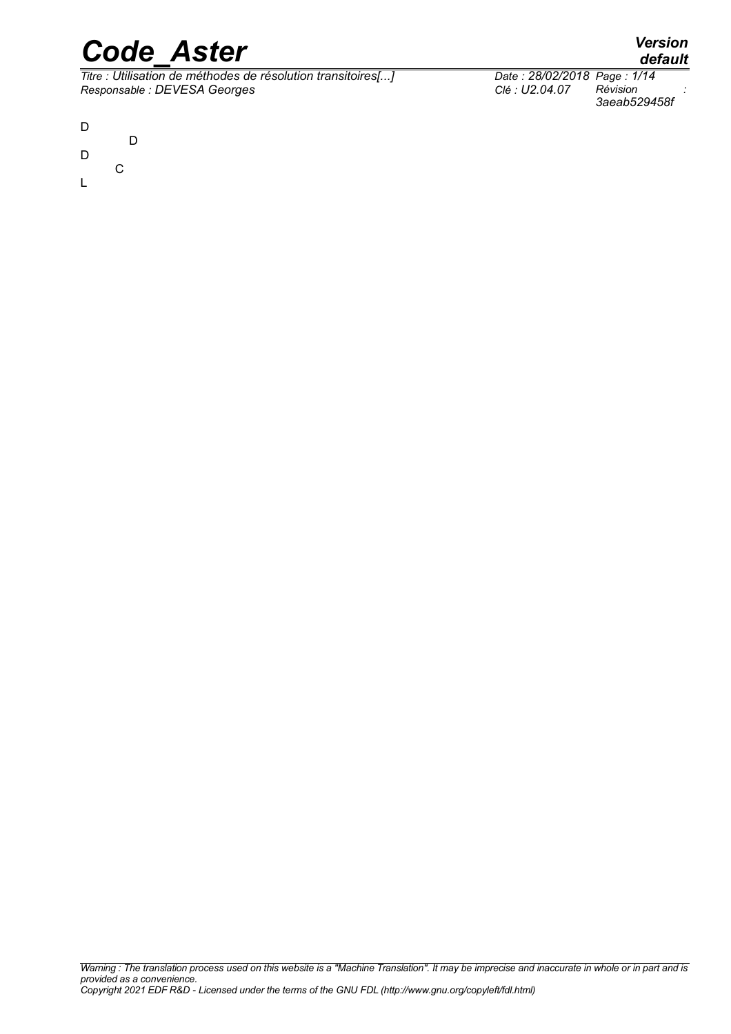*Titre : Utilisation de méthodes de résolution transitoires[...] Date : 28/02/2018 Page : 1/14*  $Responsible : DEVES$  *Georges* 



- D D
- C
- L

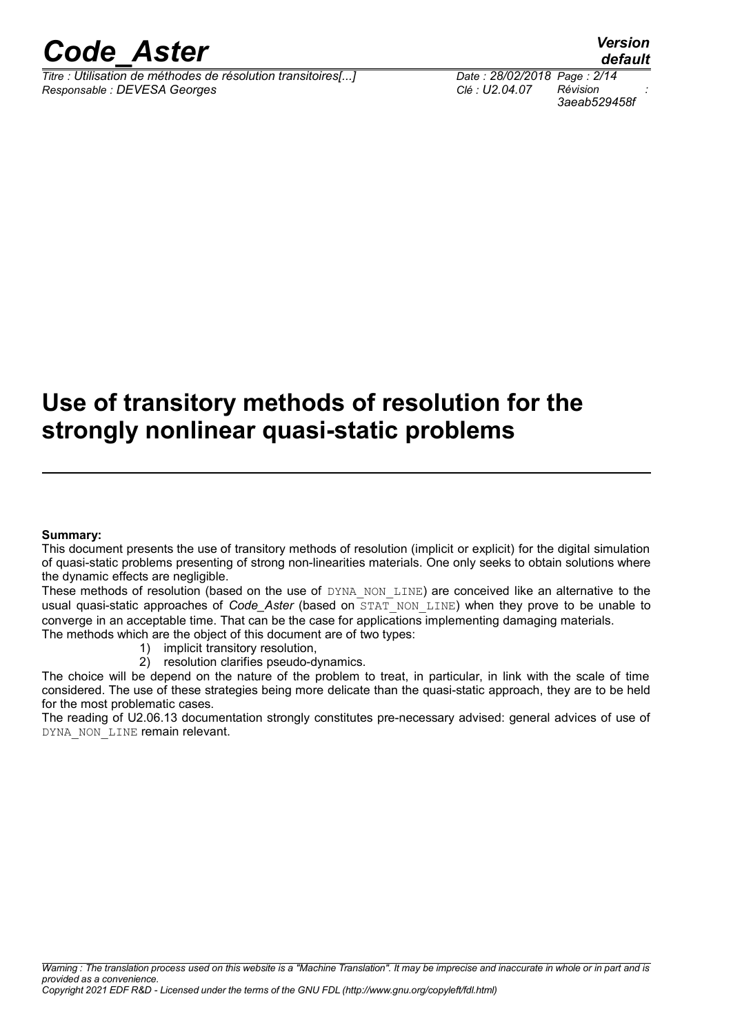*Titre : Utilisation de méthodes de résolution transitoires[...] Date : 28/02/2018 Page : 2/14 Responsable : DEVESA Georges Clé : U2.04.07 Révision :*

*default*

### **Use of transitory methods of resolution for the strongly nonlinear quasi-static problems**

#### **Summary:**

This document presents the use of transitory methods of resolution (implicit or explicit) for the digital simulation of quasi-static problems presenting of strong non-linearities materials. One only seeks to obtain solutions where the dynamic effects are negligible.

These methods of resolution (based on the use of DYNA\_NON\_LINE) are conceived like an alternative to the usual quasi-static approaches of *Code\_Aster* (based on STAT\_NON\_LINE) when they prove to be unable to converge in an acceptable time. That can be the case for applications implementing damaging materials. The methods which are the object of this document are of two types:

- 1) implicit transitory resolution,
	- 2) resolution clarifies pseudo-dynamics.

The choice will be depend on the nature of the problem to treat, in particular, in link with the scale of time considered. The use of these strategies being more delicate than the quasi-static approach, they are to be held for the most problematic cases.

The reading of U2.06.13 documentation strongly constitutes pre-necessary advised: general advices of use of DYNA\_NON\_LINE remain relevant.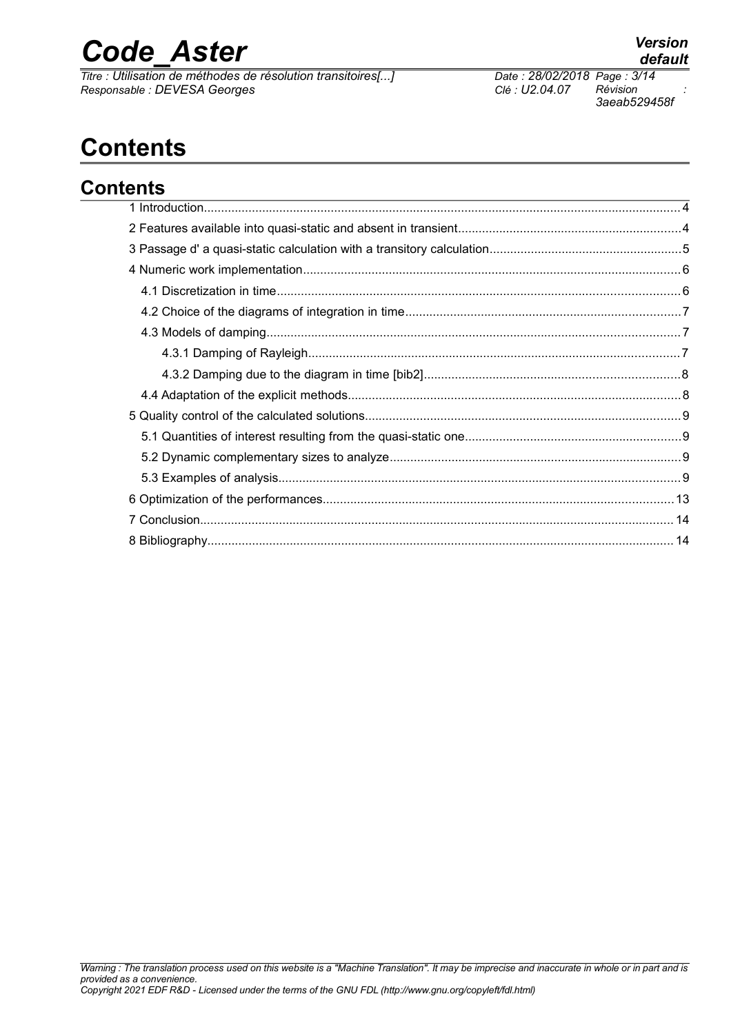*Titre : Utilisation de méthodes de résolution transitoires[...] Date : 28/02/2018 Page : 3/14*  $Responsible : DEVES$  *Georges* 

*3aeab529458f*

### **Contents**

| <b>Contents</b> |  |  |
|-----------------|--|--|
|                 |  |  |
|                 |  |  |
|                 |  |  |
|                 |  |  |
|                 |  |  |
|                 |  |  |
|                 |  |  |
|                 |  |  |
|                 |  |  |
|                 |  |  |
|                 |  |  |
|                 |  |  |
|                 |  |  |
|                 |  |  |
|                 |  |  |
|                 |  |  |
|                 |  |  |
|                 |  |  |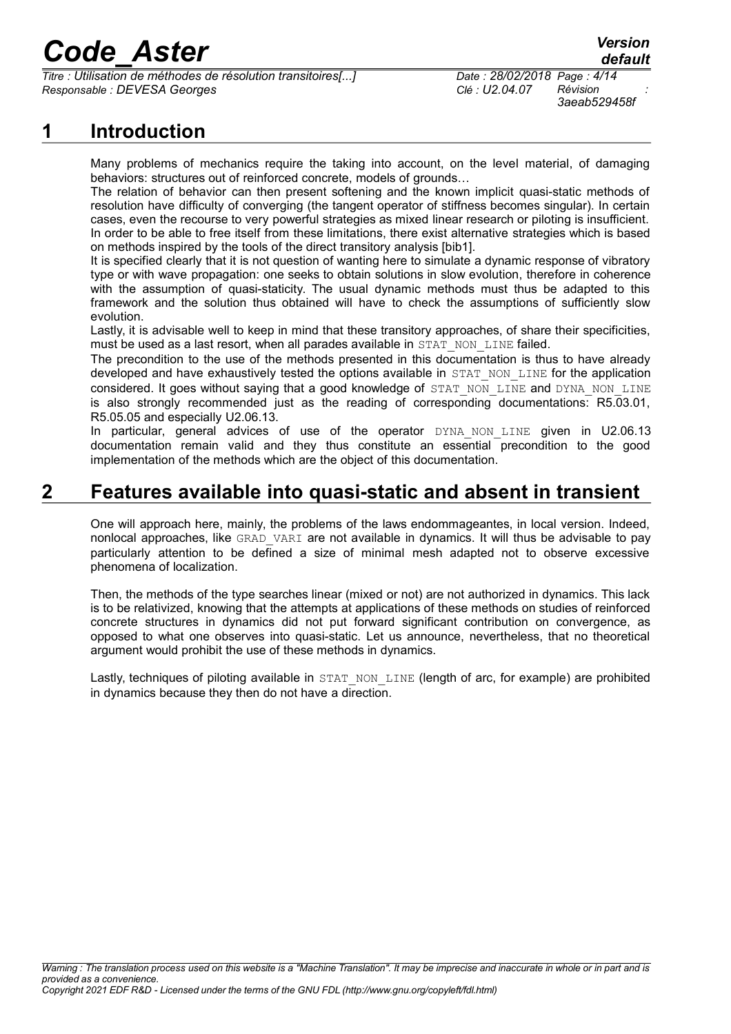*Titre : Utilisation de méthodes de résolution transitoires[...] Date : 28/02/2018 Page : 4/14 Responsable : DEVESA Georges Clé : U2.04.07 Révision :*

*3aeab529458f*

### **1 Introduction**

Many problems of mechanics require the taking into account, on the level material, of damaging behaviors: structures out of reinforced concrete, models of grounds…

The relation of behavior can then present softening and the known implicit quasi-static methods of resolution have difficulty of converging (the tangent operator of stiffness becomes singular). In certain cases, even the recourse to very powerful strategies as mixed linear research or piloting is insufficient. In order to be able to free itself from these limitations, there exist alternative strategies which is based on methods inspired by the tools of the direct transitory analysis [bib1].

It is specified clearly that it is not question of wanting here to simulate a dynamic response of vibratory type or with wave propagation: one seeks to obtain solutions in slow evolution, therefore in coherence with the assumption of quasi-staticity. The usual dynamic methods must thus be adapted to this framework and the solution thus obtained will have to check the assumptions of sufficiently slow evolution.

Lastly, it is advisable well to keep in mind that these transitory approaches, of share their specificities, must be used as a last resort, when all parades available in STAT NON LINE failed.

The precondition to the use of the methods presented in this documentation is thus to have already developed and have exhaustively tested the options available in STAT\_NON\_LINE for the application considered. It goes without saying that a good knowledge of STAT\_NON\_LINE and DYNA\_NON\_LINE is also strongly recommended just as the reading of corresponding documentations: R5.03.01, R5.05.05 and especially U2.06.13.

In particular, general advices of use of the operator DYNA NON LINE given in U2.06.13 documentation remain valid and they thus constitute an essential precondition to the good implementation of the methods which are the object of this documentation.

### **2 Features available into quasi-static and absent in transient**

One will approach here, mainly, the problems of the laws endommageantes, in local version. Indeed, nonlocal approaches, like GRAD VARI are not available in dynamics. It will thus be advisable to pay particularly attention to be defined a size of minimal mesh adapted not to observe excessive phenomena of localization.

Then, the methods of the type searches linear (mixed or not) are not authorized in dynamics. This lack is to be relativized, knowing that the attempts at applications of these methods on studies of reinforced concrete structures in dynamics did not put forward significant contribution on convergence, as opposed to what one observes into quasi-static. Let us announce, nevertheless, that no theoretical argument would prohibit the use of these methods in dynamics.

Lastly, techniques of piloting available in STAT\_NON\_LINE (length of arc, for example) are prohibited in dynamics because they then do not have a direction.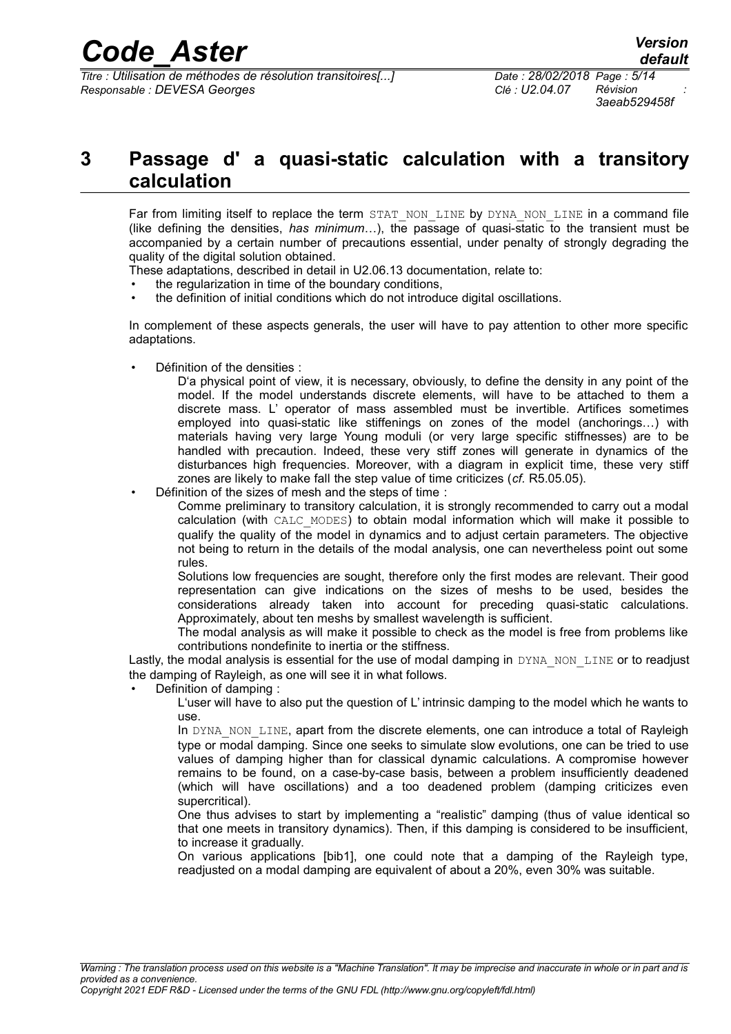*3aeab529458f*

### **3 Passage d' a quasi-static calculation with a transitory calculation**

Far from limiting itself to replace the term STAT NON LINE by DYNA NON LINE in a command file (like defining the densities, *has minimum*…), the passage of quasi-static to the transient must be accompanied by a certain number of precautions essential, under penalty of strongly degrading the quality of the digital solution obtained.

These adaptations, described in detail in U2.06.13 documentation, relate to:

- the regularization in time of the boundary conditions,
- the definition of initial conditions which do not introduce digital oscillations.

In complement of these aspects generals, the user will have to pay attention to other more specific adaptations.

Définition of the densities :

D'a physical point of view, it is necessary, obviously, to define the density in any point of the model. If the model understands discrete elements, will have to be attached to them a discrete mass. L' operator of mass assembled must be invertible. Artifices sometimes employed into quasi-static like stiffenings on zones of the model (anchorings…) with materials having very large Young moduli (or very large specific stiffnesses) are to be handled with precaution. Indeed, these very stiff zones will generate in dynamics of the disturbances high frequencies. Moreover, with a diagram in explicit time, these very stiff zones are likely to make fall the step value of time criticizes (*cf.* R5.05.05).

Définition of the sizes of mesh and the steps of time:

Comme preliminary to transitory calculation, it is strongly recommended to carry out a modal calculation (with CALC\_MODES) to obtain modal information which will make it possible to qualify the quality of the model in dynamics and to adjust certain parameters. The objective not being to return in the details of the modal analysis, one can nevertheless point out some rules.

Solutions low frequencies are sought, therefore only the first modes are relevant. Their good representation can give indications on the sizes of meshs to be used, besides the considerations already taken into account for preceding quasi-static calculations. Approximately, about ten meshs by smallest wavelength is sufficient.

The modal analysis as will make it possible to check as the model is free from problems like contributions nondefinite to inertia or the stiffness.

Lastly, the modal analysis is essential for the use of modal damping in  $DYNA$ , NON, LINE or to readjust the damping of Rayleigh, as one will see it in what follows.

• Definition of damping :

L'user will have to also put the question of L' intrinsic damping to the model which he wants to use.

In DYNA NON LINE, apart from the discrete elements, one can introduce a total of Rayleigh type or modal damping. Since one seeks to simulate slow evolutions, one can be tried to use values of damping higher than for classical dynamic calculations. A compromise however remains to be found, on a case-by-case basis, between a problem insufficiently deadened (which will have oscillations) and a too deadened problem (damping criticizes even supercritical).

One thus advises to start by implementing a "realistic" damping (thus of value identical so that one meets in transitory dynamics). Then, if this damping is considered to be insufficient, to increase it gradually.

On various applications [bib1], one could note that a damping of the Rayleigh type, readjusted on a modal damping are equivalent of about a 20%, even 30% was suitable.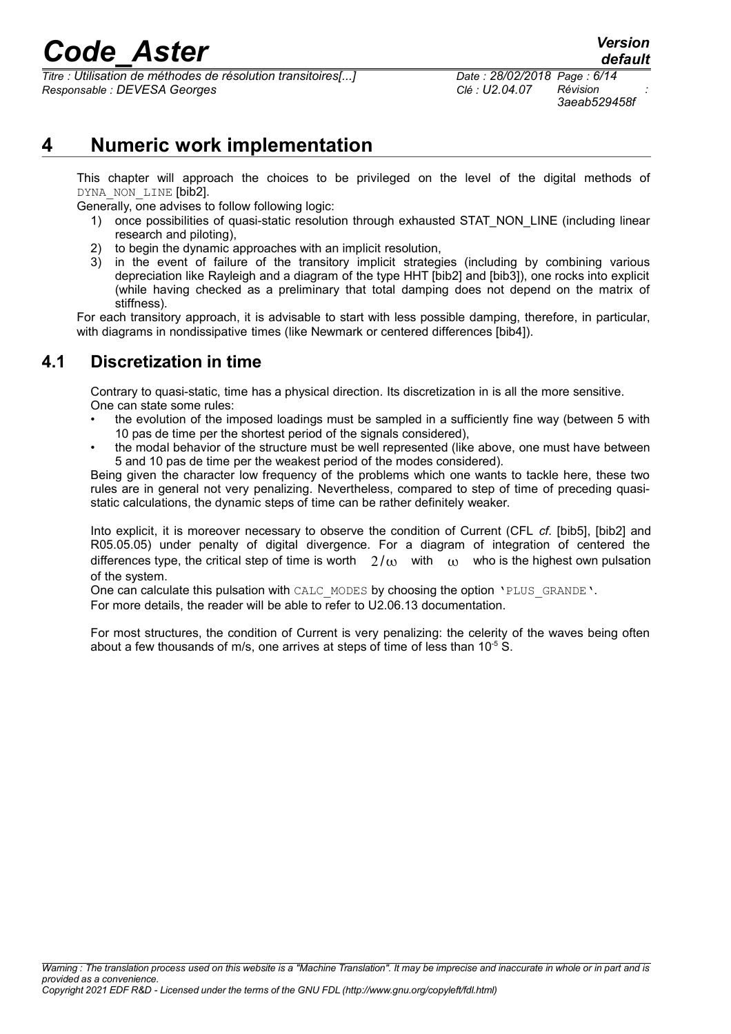*Titre : Utilisation de méthodes de résolution transitoires[...] Date : 28/02/2018 Page : 6/14 Responsable : DEVESA Georges Clé : U2.04.07 Révision :*

### **4 Numeric work implementation**

This chapter will approach the choices to be privileged on the level of the digital methods of DYNA NON LINE [bib2].

Generally, one advises to follow following logic:

- 1) once possibilities of quasi-static resolution through exhausted STAT NON LINE (including linear research and piloting),
- 2) to begin the dynamic approaches with an implicit resolution,
- 3) in the event of failure of the transitory implicit strategies (including by combining various depreciation like Rayleigh and a diagram of the type HHT [bib2] and [bib3]), one rocks into explicit (while having checked as a preliminary that total damping does not depend on the matrix of stiffness).

For each transitory approach, it is advisable to start with less possible damping, therefore, in particular, with diagrams in nondissipative times (like Newmark or centered differences [bib4]).

#### **4.1 Discretization in time**

Contrary to quasi-static, time has a physical direction. Its discretization in is all the more sensitive. One can state some rules:

- the evolution of the imposed loadings must be sampled in a sufficiently fine way (between 5 with 10 pas de time per the shortest period of the signals considered),
- the modal behavior of the structure must be well represented (like above, one must have between 5 and 10 pas de time per the weakest period of the modes considered).

Being given the character low frequency of the problems which one wants to tackle here, these two rules are in general not very penalizing. Nevertheless, compared to step of time of preceding quasistatic calculations, the dynamic steps of time can be rather definitely weaker.

Into explicit, it is moreover necessary to observe the condition of Current (CFL *cf.* [bib5], [bib2] and R05.05.05) under penalty of digital divergence. For a diagram of integration of centered the differences type, the critical step of time is worth  $2/\omega$  with  $\omega$  who is the highest own pulsation of the system.

One can calculate this pulsation with CALC\_MODES by choosing the option 'PLUS\_GRANDE'.

For more details, the reader will be able to refer to U2.06.13 documentation.

For most structures, the condition of Current is very penalizing: the celerity of the waves being often about a few thousands of m/s, one arrives at steps of time of less than  $10^{-5}$  S.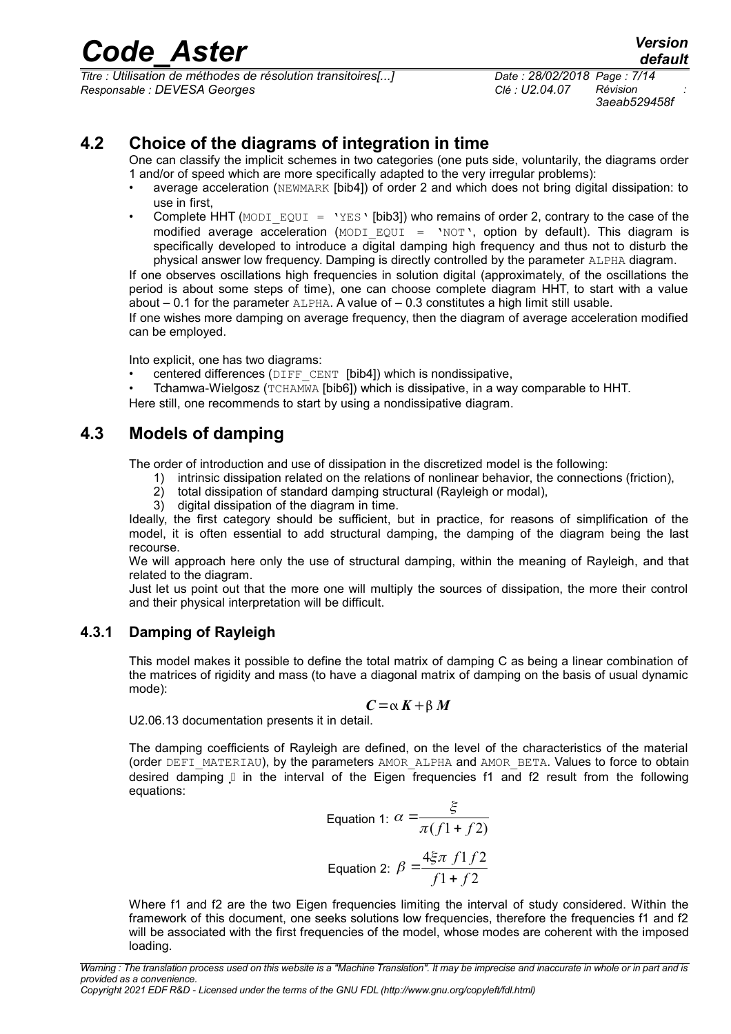*Titre : Utilisation de méthodes de résolution transitoires[...] Date : 28/02/2018 Page : 7/14 Responsable : DEVESA Georges Clé : U2.04.07 Révision :*

*3aeab529458f*

#### **4.2 Choice of the diagrams of integration in time**

One can classify the implicit schemes in two categories (one puts side, voluntarily, the diagrams order 1 and/or of speed which are more specifically adapted to the very irregular problems):

- average acceleration (NEWMARK [bib4]) of order 2 and which does not bring digital dissipation: to use in first,
- Complete HHT (MODI EQUI = 'YES' [bib3]) who remains of order 2, contrary to the case of the modified average acceleration  $(MODI$  EQUI = 'NOT', option by default). This diagram is specifically developed to introduce a digital damping high frequency and thus not to disturb the physical answer low frequency. Damping is directly controlled by the parameter ALPHA diagram.

If one observes oscillations high frequencies in solution digital (approximately, of the oscillations the period is about some steps of time), one can choose complete diagram HHT, to start with a value about  $-0.1$  for the parameter  $ALPHA$ . A value of  $-0.3$  constitutes a high limit still usable.

If one wishes more damping on average frequency, then the diagram of average acceleration modified can be employed.

Into explicit, one has two diagrams:

- centered differences ( $\text{DIFF}$  CENT [bib4]) which is nondissipative,
- Tchamwa-Wielgosz (TCHAMWA [bib6]) which is dissipative, in a way comparable to HHT.

Here still, one recommends to start by using a nondissipative diagram.

#### **4.3 Models of damping**

The order of introduction and use of dissipation in the discretized model is the following:

- 1) intrinsic dissipation related on the relations of nonlinear behavior, the connections (friction),
- 2) total dissipation of standard damping structural (Rayleigh or modal),
- 3) digital dissipation of the diagram in time.

Ideally, the first category should be sufficient, but in practice, for reasons of simplification of the model, it is often essential to add structural damping, the damping of the diagram being the last recourse.

We will approach here only the use of structural damping, within the meaning of Rayleigh, and that related to the diagram.

Just let us point out that the more one will multiply the sources of dissipation, the more their control and their physical interpretation will be difficult.

#### **4.3.1 Damping of Rayleigh**

This model makes it possible to define the total matrix of damping C as being a linear combination of the matrices of rigidity and mass (to have a diagonal matrix of damping on the basis of usual dynamic mode):

$$
C = \alpha K + \beta M
$$

U2.06.13 documentation presents it in detail.

The damping coefficients of Rayleigh are defined, on the level of the characteristics of the material (order DEFI\_MATERIAU), by the parameters AMOR\_ALPHA and AMOR\_BETA. Values to force to obtain desired damping Xin the interval of the Eigen frequencies f1 and f2 result from the following equations:

Equation 1: 
$$
\alpha = \frac{\xi}{\pi(f_1 + f_2)}
$$
  
Equation 2:  $\beta = \frac{4\xi\pi f_1 f_2}{f_1 + f_2}$ 

Where f1 and f2 are the two Eigen frequencies limiting the interval of study considered. Within the framework of this document, one seeks solutions low frequencies, therefore the frequencies f1 and f2 will be associated with the first frequencies of the model, whose modes are coherent with the imposed loading.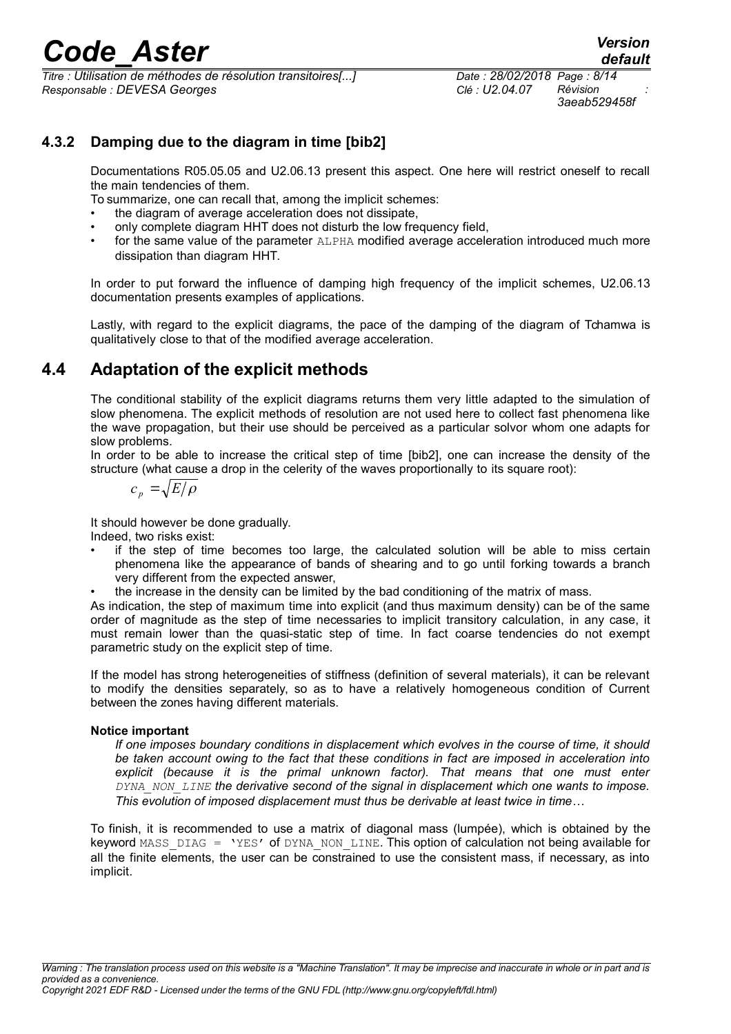*Titre : Utilisation de méthodes de résolution transitoires[...] Date : 28/02/2018 Page : 8/14 Responsable : DEVESA Georges Clé : U2.04.07 Révision :*

#### **4.3.2 Damping due to the diagram in time [bib2]**

Documentations R05.05.05 and U2.06.13 present this aspect. One here will restrict oneself to recall the main tendencies of them.

To summarize, one can recall that, among the implicit schemes:

- the diagram of average acceleration does not dissipate,
- only complete diagram HHT does not disturb the low frequency field,
- for the same value of the parameter ALPHA modified average acceleration introduced much more dissipation than diagram HHT.

In order to put forward the influence of damping high frequency of the implicit schemes, U2.06.13 documentation presents examples of applications.

Lastly, with regard to the explicit diagrams, the pace of the damping of the diagram of Tchamwa is qualitatively close to that of the modified average acceleration.

#### **4.4 Adaptation of the explicit methods**

The conditional stability of the explicit diagrams returns them very little adapted to the simulation of slow phenomena. The explicit methods of resolution are not used here to collect fast phenomena like the wave propagation, but their use should be perceived as a particular solvor whom one adapts for slow problems.

In order to be able to increase the critical step of time [bib2], one can increase the density of the structure (what cause a drop in the celerity of the waves proportionally to its square root):

$$
c_p = \sqrt{E/\rho}
$$

It should however be done gradually.

Indeed, two risks exist:

- if the step of time becomes too large, the calculated solution will be able to miss certain phenomena like the appearance of bands of shearing and to go until forking towards a branch very different from the expected answer,
- the increase in the density can be limited by the bad conditioning of the matrix of mass.

As indication, the step of maximum time into explicit (and thus maximum density) can be of the same order of magnitude as the step of time necessaries to implicit transitory calculation, in any case, it must remain lower than the quasi-static step of time. In fact coarse tendencies do not exempt parametric study on the explicit step of time.

If the model has strong heterogeneities of stiffness (definition of several materials), it can be relevant to modify the densities separately, so as to have a relatively homogeneous condition of Current between the zones having different materials.

#### **Notice important**

*If one imposes boundary conditions in displacement which evolves in the course of time, it should be taken account owing to the fact that these conditions in fact are imposed in acceleration into explicit (because it is the primal unknown factor). That means that one must enter DYNA\_NON\_LINE the derivative second of the signal in displacement which one wants to impose. This evolution of imposed displacement must thus be derivable at least twice in time…*

To finish, it is recommended to use a matrix of diagonal mass (lumpée), which is obtained by the keyword MASS DIAG = 'YES' of DYNA NON LINE. This option of calculation not being available for all the finite elements, the user can be constrained to use the consistent mass, if necessary, as into implicit.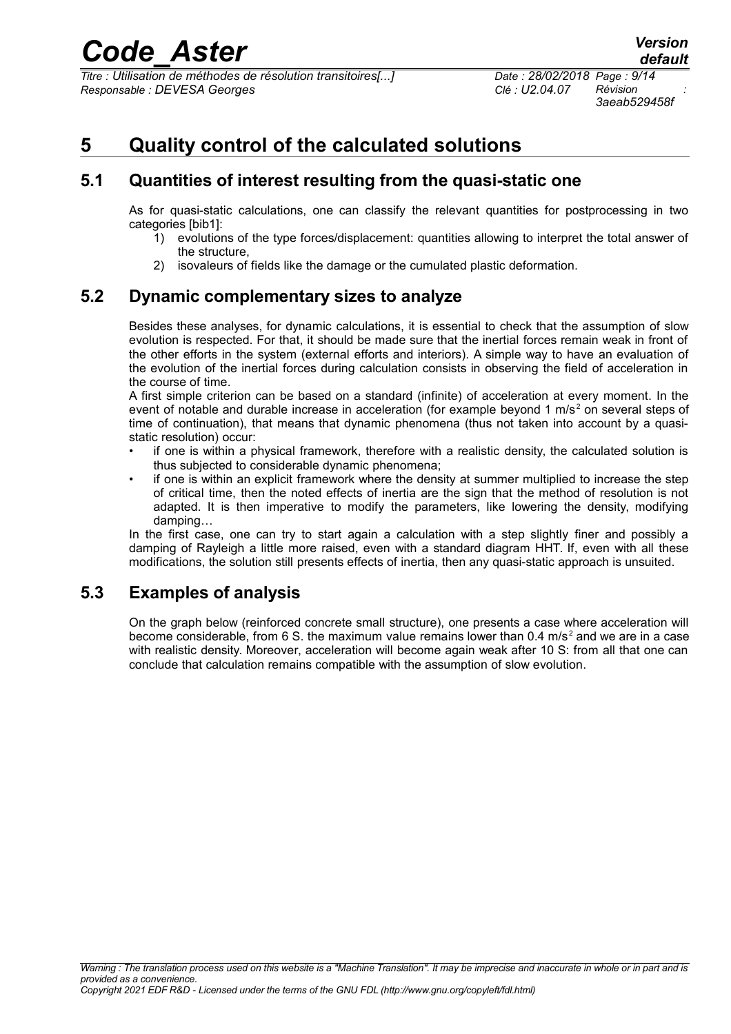*Titre : Utilisation de méthodes de résolution transitoires[...] Date : 28/02/2018 Page : 9/14 Responsable : DEVESA Georges Clé : U2.04.07 Révision :*

*3aeab529458f*

### **5 Quality control of the calculated solutions**

#### **5.1 Quantities of interest resulting from the quasi-static one**

As for quasi-static calculations, one can classify the relevant quantities for postprocessing in two categories [bib1]:

- 1) evolutions of the type forces/displacement: quantities allowing to interpret the total answer of the structure,
- 2) isovaleurs of fields like the damage or the cumulated plastic deformation.

#### **5.2 Dynamic complementary sizes to analyze**

Besides these analyses, for dynamic calculations, it is essential to check that the assumption of slow evolution is respected. For that, it should be made sure that the inertial forces remain weak in front of the other efforts in the system (external efforts and interiors). A simple way to have an evaluation of the evolution of the inertial forces during calculation consists in observing the field of acceleration in the course of time.

A first simple criterion can be based on a standard (infinite) of acceleration at every moment. In the event of notable and durable increase in acceleration (for example beyond 1 m/s<sup>2</sup> on several steps of time of continuation), that means that dynamic phenomena (thus not taken into account by a quasistatic resolution) occur:

- if one is within a physical framework, therefore with a realistic density, the calculated solution is thus subjected to considerable dynamic phenomena;
- if one is within an explicit framework where the density at summer multiplied to increase the step of critical time, then the noted effects of inertia are the sign that the method of resolution is not adapted. It is then imperative to modify the parameters, like lowering the density, modifying damping…

In the first case, one can try to start again a calculation with a step slightly finer and possibly a damping of Rayleigh a little more raised, even with a standard diagram HHT. If, even with all these modifications, the solution still presents effects of inertia, then any quasi-static approach is unsuited.

#### **5.3 Examples of analysis**

On the graph below (reinforced concrete small structure), one presents a case where acceleration will become considerable, from 6 S. the maximum value remains lower than 0.4 m/s<sup>2</sup> and we are in a case with realistic density. Moreover, acceleration will become again weak after 10 S: from all that one can conclude that calculation remains compatible with the assumption of slow evolution.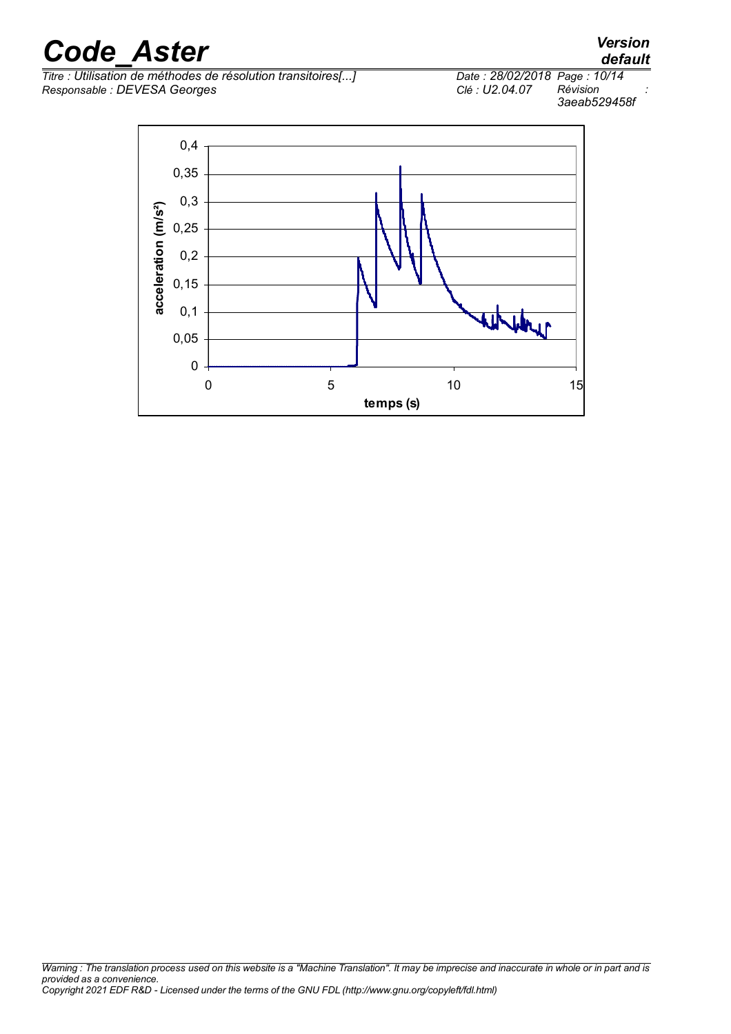*Titre : Utilisation de méthodes de résolution transitoires[...] Date : 28/02/2018 Page : 10/14*  $Responsible : DEVES$  *Georges* 

*default 3aeab529458f*

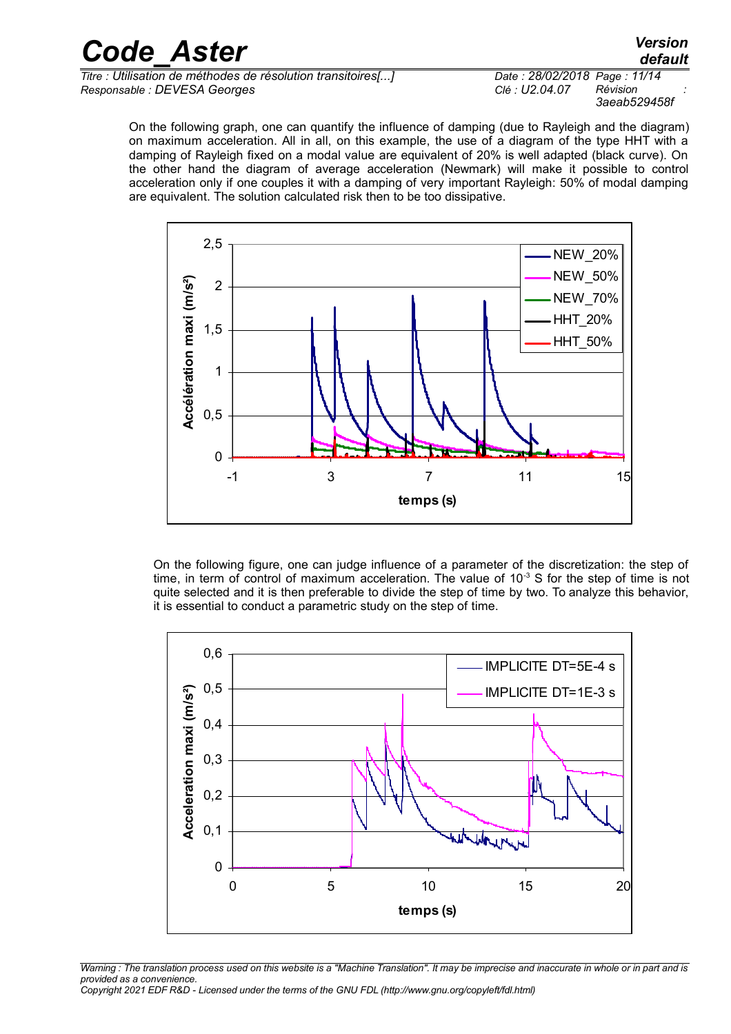| <b>Code Aster</b>                                            | <b>Version</b><br>default    |
|--------------------------------------------------------------|------------------------------|
| Titre : Utilisation de méthodes de résolution transitoires[] | Date: 28/02/2018 Page: 11/14 |
| Responsable : DEVESA Georges                                 | Révision<br>Clé : U2.04.07   |

*3aeab529458f* On the following graph, one can quantify the influence of damping (due to Rayleigh and the diagram)

on maximum acceleration. All in all, on this example, the use of a diagram of the type HHT with a damping of Rayleigh fixed on a modal value are equivalent of 20% is well adapted (black curve). On the other hand the diagram of average acceleration (Newmark) will make it possible to control acceleration only if one couples it with a damping of very important Rayleigh: 50% of modal damping are equivalent. The solution calculated risk then to be too dissipative.



On the following figure, one can judge influence of a parameter of the discretization: the step of time, in term of control of maximum acceleration. The value of  $10^{-3}$  S for the step of time is not quite selected and it is then preferable to divide the step of time by two. To analyze this behavior, it is essential to conduct a parametric study on the step of time.



*Warning : The translation process used on this website is a "Machine Translation". It may be imprecise and inaccurate in whole or in part and is provided as a convenience.*

*Copyright 2021 EDF R&D - Licensed under the terms of the GNU FDL (http://www.gnu.org/copyleft/fdl.html)*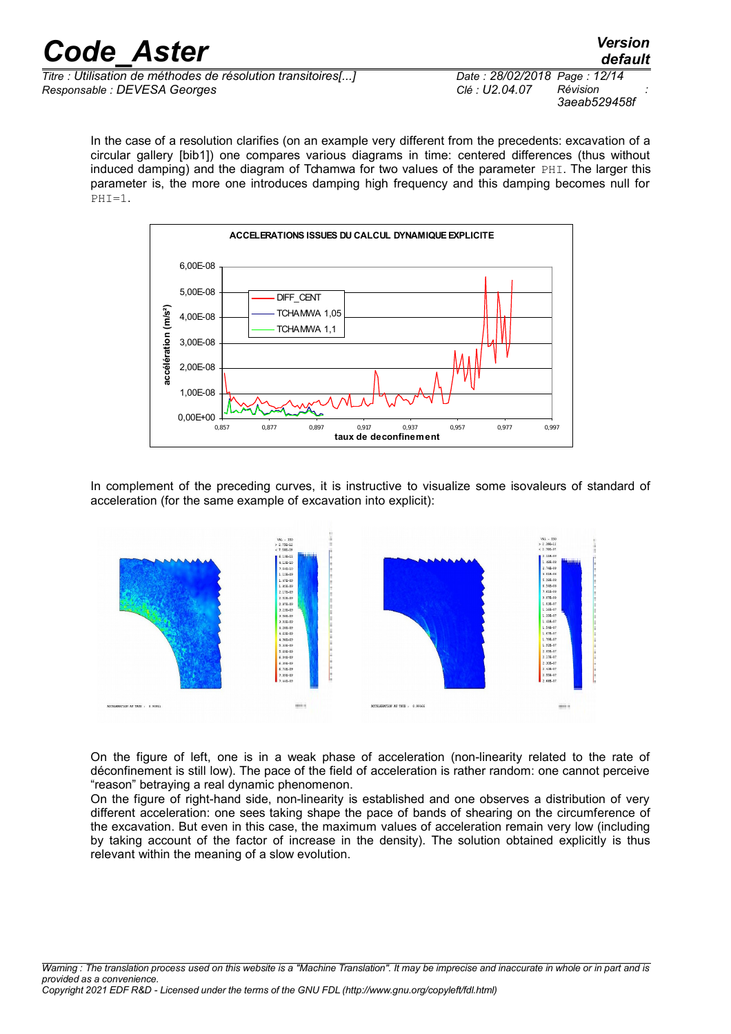*default*

*Titre : Utilisation de méthodes de résolution transitoires[...] Date : 28/02/2018 Page : 12/14 Responsable : DEVESA Georges Clé : U2.04.07 Révision :*

*3aeab529458f*

In the case of a resolution clarifies (on an example very different from the precedents: excavation of a circular gallery [bib1]) one compares various diagrams in time: centered differences (thus without induced damping) and the diagram of Tchamwa for two values of the parameter  $PHI$ . The larger this parameter is, the more one introduces damping high frequency and this damping becomes null for .<br>PHI=1.



In complement of the preceding curves, it is instructive to visualize some isovaleurs of standard of acceleration (for the same example of excavation into explicit):



On the figure of left, one is in a weak phase of acceleration (non-linearity related to the rate of déconfinement is still low). The pace of the field of acceleration is rather random: one cannot perceive "reason" betraying a real dynamic phenomenon.

On the figure of right-hand side, non-linearity is established and one observes a distribution of very different acceleration: one sees taking shape the pace of bands of shearing on the circumference of the excavation. But even in this case, the maximum values of acceleration remain very low (including by taking account of the factor of increase in the density). The solution obtained explicitly is thus relevant within the meaning of a slow evolution.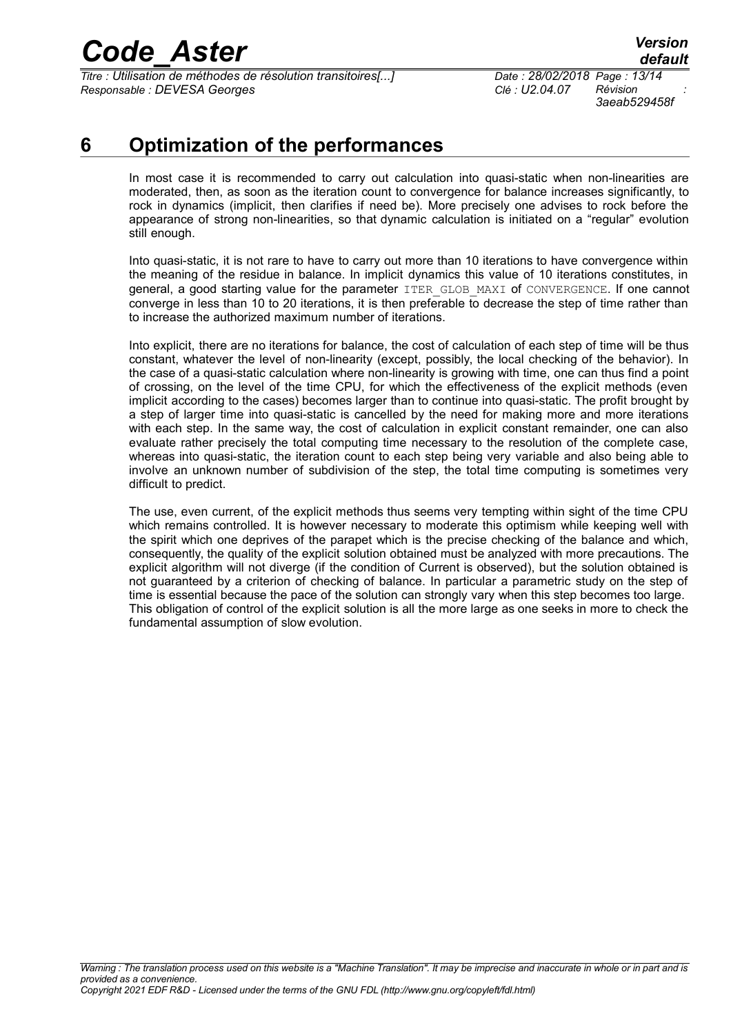*Titre : Utilisation de méthodes de résolution transitoires[...] Date : 28/02/2018 Page : 13/14 Responsable : DEVESA Georges Clé : U2.04.07 Révision :*

*3aeab529458f*

### **6 Optimization of the performances**

In most case it is recommended to carry out calculation into quasi-static when non-linearities are moderated, then, as soon as the iteration count to convergence for balance increases significantly, to rock in dynamics (implicit, then clarifies if need be). More precisely one advises to rock before the appearance of strong non-linearities, so that dynamic calculation is initiated on a "regular" evolution still enough.

Into quasi-static, it is not rare to have to carry out more than 10 iterations to have convergence within the meaning of the residue in balance. In implicit dynamics this value of 10 iterations constitutes, in general, a good starting value for the parameter ITER\_GLOB\_MAXI of CONVERGENCE. If one cannot converge in less than 10 to 20 iterations, it is then preferable to decrease the step of time rather than to increase the authorized maximum number of iterations.

Into explicit, there are no iterations for balance, the cost of calculation of each step of time will be thus constant, whatever the level of non-linearity (except, possibly, the local checking of the behavior). In the case of a quasi-static calculation where non-linearity is growing with time, one can thus find a point of crossing, on the level of the time CPU, for which the effectiveness of the explicit methods (even implicit according to the cases) becomes larger than to continue into quasi-static. The profit brought by a step of larger time into quasi-static is cancelled by the need for making more and more iterations with each step. In the same way, the cost of calculation in explicit constant remainder, one can also evaluate rather precisely the total computing time necessary to the resolution of the complete case, whereas into quasi-static, the iteration count to each step being very variable and also being able to involve an unknown number of subdivision of the step, the total time computing is sometimes very difficult to predict.

The use, even current, of the explicit methods thus seems very tempting within sight of the time CPU which remains controlled. It is however necessary to moderate this optimism while keeping well with the spirit which one deprives of the parapet which is the precise checking of the balance and which, consequently, the quality of the explicit solution obtained must be analyzed with more precautions. The explicit algorithm will not diverge (if the condition of Current is observed), but the solution obtained is not guaranteed by a criterion of checking of balance. In particular a parametric study on the step of time is essential because the pace of the solution can strongly vary when this step becomes too large. This obligation of control of the explicit solution is all the more large as one seeks in more to check the fundamental assumption of slow evolution.